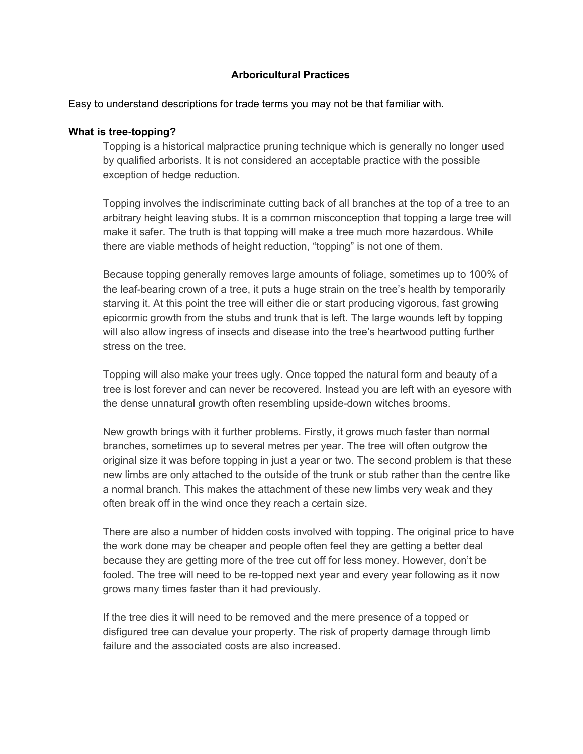# **Arboricultural Practices**

Easy to understand descriptions for trade terms you may not be that familiar with.

### **What is tree-topping?**

Topping is a historical malpractice pruning technique which is generally no longer used by qualified arborists. It is not considered an acceptable practice with the possible exception of hedge reduction.

Topping involves the indiscriminate cutting back of all branches at the top of a tree to an arbitrary height leaving stubs. It is a common misconception that topping a large tree will make it safer. The truth is that topping will make a tree much more hazardous. While there are viable methods of height reduction, "topping" is not one of them.

Because topping generally removes large amounts of foliage, sometimes up to 100% of the leaf-bearing crown of a tree, it puts a huge strain on the tree's health by temporarily starving it. At this point the tree will either die or start producing vigorous, fast growing epicormic growth from the stubs and trunk that is left. The large wounds left by topping will also allow ingress of insects and disease into the tree's heartwood putting further stress on the tree.

Topping will also make your trees ugly. Once topped the natural form and beauty of a tree is lost forever and can never be recovered. Instead you are left with an eyesore with the dense unnatural growth often resembling upside-down witches brooms.

New growth brings with it further problems. Firstly, it grows much faster than normal branches, sometimes up to several metres per year. The tree will often outgrow the original size it was before topping in just a year or two. The second problem is that these new limbs are only attached to the outside of the trunk or stub rather than the centre like a normal branch. This makes the attachment of these new limbs very weak and they often break off in the wind once they reach a certain size.

There are also a number of hidden costs involved with topping. The original price to have the work done may be cheaper and people often feel they are getting a better deal because they are getting more of the tree cut off for less money. However, don't be fooled. The tree will need to be re-topped next year and every year following as it now grows many times faster than it had previously.

If the tree dies it will need to be removed and the mere presence of a topped or disfigured tree can devalue your property. The risk of property damage through limb failure and the associated costs are also increased.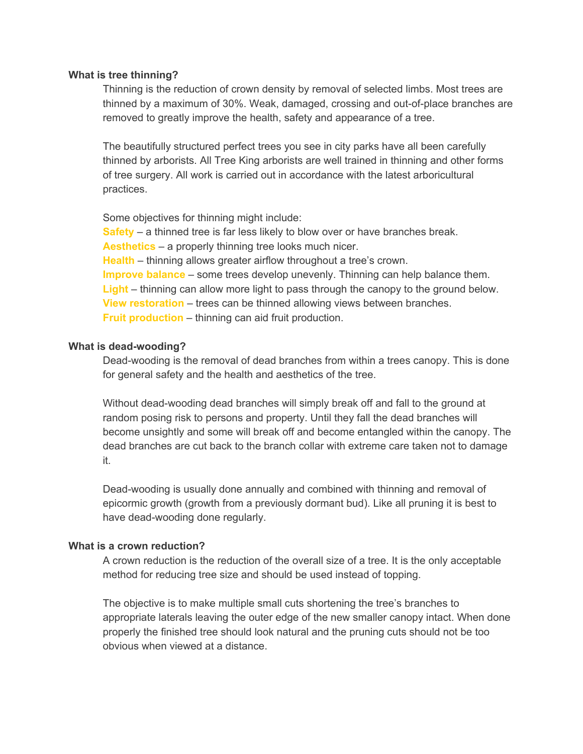### **What is tree thinning?**

Thinning is the reduction of crown density by removal of selected limbs. Most trees are thinned by a maximum of 30%. Weak, damaged, crossing and out-of-place branches are removed to greatly improve the health, safety and appearance of a tree.

The beautifully structured perfect trees you see in city parks have all been carefully thinned by arborists. All Tree King arborists are well trained in thinning and other forms of tree surgery. All work is carried out in accordance with the latest arboricultural practices.

Some objectives for thinning might include: **Safety** – a thinned tree is far less likely to blow over or have branches break. **Aesthetics** – a properly thinning tree looks much nicer. **Health** – thinning allows greater airflow throughout a tree's crown. **Improve balance** – some trees develop unevenly. Thinning can help balance them. **Light** – thinning can allow more light to pass through the canopy to the ground below. **View restoration** – trees can be thinned allowing views between branches. **Fruit production** – thinning can aid fruit production.

# **What is dead-wooding?**

Dead-wooding is the removal of dead branches from within a trees canopy. This is done for general safety and the health and aesthetics of the tree.

Without dead-wooding dead branches will simply break off and fall to the ground at random posing risk to persons and property. Until they fall the dead branches will become unsightly and some will break off and become entangled within the canopy. The dead branches are cut back to the branch collar with extreme care taken not to damage it.

Dead-wooding is usually done annually and combined with thinning and removal of epicormic growth (growth from a previously dormant bud). Like all pruning it is best to have dead-wooding done regularly.

# **What is a crown reduction?**

A crown reduction is the reduction of the overall size of a tree. It is the only acceptable method for reducing tree size and should be used instead of topping.

The objective is to make multiple small cuts shortening the tree's branches to appropriate laterals leaving the outer edge of the new smaller canopy intact. When done properly the finished tree should look natural and the pruning cuts should not be too obvious when viewed at a distance.